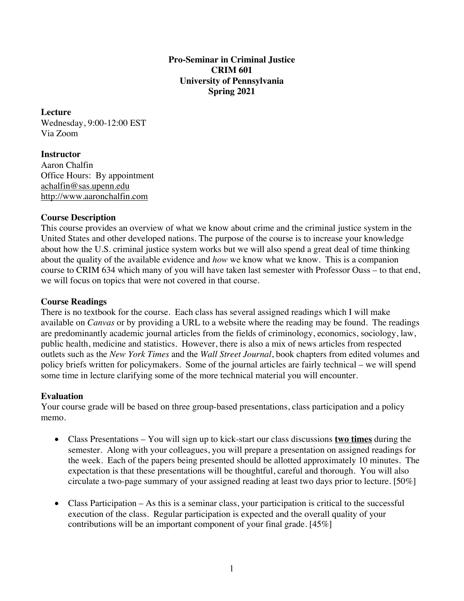### **Pro-Seminar in Criminal Justice CRIM 601 University of Pennsylvania Spring 2021**

### **Lecture**

Wednesday, 9:00-12:00 EST Via Zoom

# **Instructor**

Aaron Chalfin Office Hours: By appointment achalfin@sas.upenn.edu http://www.aaronchalfin.com

### **Course Description**

This course provides an overview of what we know about crime and the criminal justice system in the United States and other developed nations. The purpose of the course is to increase your knowledge about how the U.S. criminal justice system works but we will also spend a great deal of time thinking about the quality of the available evidence and *how* we know what we know. This is a companion course to CRIM 634 which many of you will have taken last semester with Professor Ouss – to that end, we will focus on topics that were not covered in that course.

### **Course Readings**

There is no textbook for the course. Each class has several assigned readings which I will make available on *Canvas* or by providing a URL to a website where the reading may be found. The readings are predominantly academic journal articles from the fields of criminology, economics, sociology, law, public health, medicine and statistics. However, there is also a mix of news articles from respected outlets such as the *New York Times* and the *Wall Street Journal*, book chapters from edited volumes and policy briefs written for policymakers. Some of the journal articles are fairly technical – we will spend some time in lecture clarifying some of the more technical material you will encounter.

### **Evaluation**

Your course grade will be based on three group-based presentations, class participation and a policy memo.

- Class Presentations You will sign up to kick-start our class discussions **two times** during the semester. Along with your colleagues, you will prepare a presentation on assigned readings for the week. Each of the papers being presented should be allotted approximately 10 minutes. The expectation is that these presentations will be thoughtful, careful and thorough. You will also circulate a two-page summary of your assigned reading at least two days prior to lecture.  $[50\%]$
- Class Participation As this is a seminar class, your participation is critical to the successful execution of the class. Regular participation is expected and the overall quality of your contributions will be an important component of your final grade. [45%]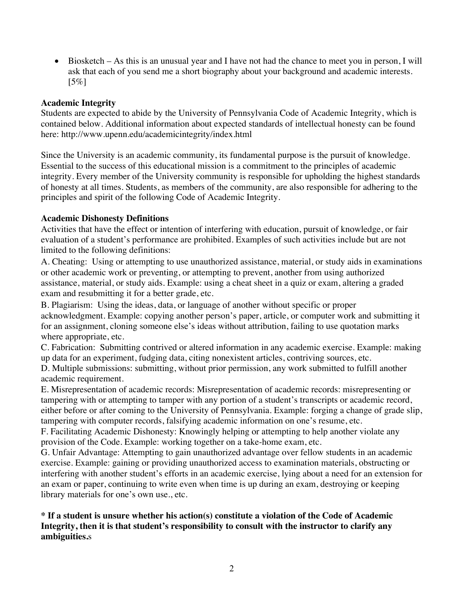• Biosketch – As this is an unusual year and I have not had the chance to meet you in person, I will ask that each of you send me a short biography about your background and academic interests.  $[5\%]$ 

### **Academic Integrity**

Students are expected to abide by the University of Pennsylvania Code of Academic Integrity, which is contained below. Additional information about expected standards of intellectual honesty can be found here: http://www.upenn.edu/academicintegrity/index.html

Since the University is an academic community, its fundamental purpose is the pursuit of knowledge. Essential to the success of this educational mission is a commitment to the principles of academic integrity. Every member of the University community is responsible for upholding the highest standards of honesty at all times. Students, as members of the community, are also responsible for adhering to the principles and spirit of the following Code of Academic Integrity.

### **Academic Dishonesty Definitions**

Activities that have the effect or intention of interfering with education, pursuit of knowledge, or fair evaluation of a student's performance are prohibited. Examples of such activities include but are not limited to the following definitions:

A. Cheating: Using or attempting to use unauthorized assistance, material, or study aids in examinations or other academic work or preventing, or attempting to prevent, another from using authorized assistance, material, or study aids. Example: using a cheat sheet in a quiz or exam, altering a graded exam and resubmitting it for a better grade, etc.

B. Plagiarism: Using the ideas, data, or language of another without specific or proper acknowledgment. Example: copying another person's paper, article, or computer work and submitting it for an assignment, cloning someone else's ideas without attribution, failing to use quotation marks where appropriate, etc.

C. Fabrication: Submitting contrived or altered information in any academic exercise. Example: making up data for an experiment, fudging data, citing nonexistent articles, contriving sources, etc.

D. Multiple submissions: submitting, without prior permission, any work submitted to fulfill another academic requirement.

E. Misrepresentation of academic records: Misrepresentation of academic records: misrepresenting or tampering with or attempting to tamper with any portion of a student's transcripts or academic record, either before or after coming to the University of Pennsylvania. Example: forging a change of grade slip, tampering with computer records, falsifying academic information on one's resume, etc.

F. Facilitating Academic Dishonesty: Knowingly helping or attempting to help another violate any provision of the Code. Example: working together on a take-home exam, etc.

G. Unfair Advantage: Attempting to gain unauthorized advantage over fellow students in an academic exercise. Example: gaining or providing unauthorized access to examination materials, obstructing or interfering with another student's efforts in an academic exercise, lying about a need for an extension for an exam or paper, continuing to write even when time is up during an exam, destroying or keeping library materials for one's own use., etc.

# **\* If a student is unsure whether his action(s) constitute a violation of the Code of Academic Integrity, then it is that student's responsibility to consult with the instructor to clarify any ambiguities.**s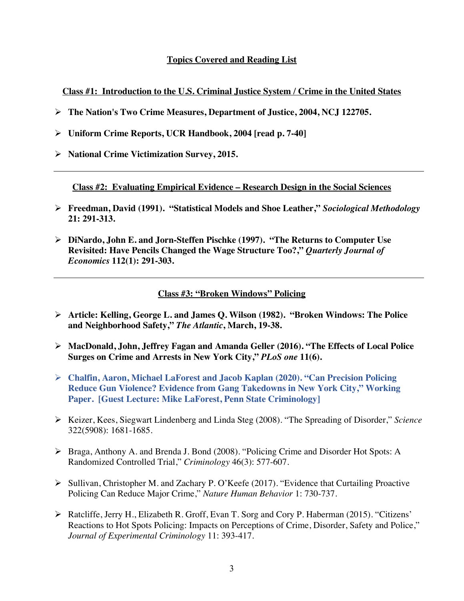### **Topics Covered and Reading List**

**Class #1: Introduction to the U.S. Criminal Justice System / Crime in the United States**

- Ø **The Nation's Two Crime Measures, Department of Justice, 2004, NCJ 122705.**
- Ø **Uniform Crime Reports, UCR Handbook, 2004 [read p. 7-40]**
- Ø **National Crime Victimization Survey, 2015.**

**Class #2: Evaluating Empirical Evidence – Research Design in the Social Sciences**

- Ø **Freedman, David (1991). "Statistical Models and Shoe Leather,"** *Sociological Methodology* **21: 291-313.**
- Ø **DiNardo, John E. and Jorn-Steffen Pischke (1997). "The Returns to Computer Use Revisited: Have Pencils Changed the Wage Structure Too?,"** *Quarterly Journal of Economics* **112(1): 291-303.**

### **Class #3: "Broken Windows" Policing**

- Ø **Article: Kelling, George L. and James Q. Wilson (1982). "Broken Windows: The Police and Neighborhood Safety,"** *The Atlantic***, March, 19-38.**
- Ø **MacDonald, John, Jeffrey Fagan and Amanda Geller (2016). "The Effects of Local Police Surges on Crime and Arrests in New York City,"** *PLoS one* **11(6).**
- Ø **Chalfin, Aaron, Michael LaForest and Jacob Kaplan (2020). "Can Precision Policing Reduce Gun Violence? Evidence from Gang Takedowns in New York City," Working Paper. [Guest Lecture: Mike LaForest, Penn State Criminology]**
- Ø Keizer, Kees, Siegwart Lindenberg and Linda Steg (2008). "The Spreading of Disorder," *Science* 322(5908): 1681-1685.
- Ø Braga, Anthony A. and Brenda J. Bond (2008). "Policing Crime and Disorder Hot Spots: A Randomized Controlled Trial," *Criminology* 46(3): 577-607.
- Ø Sullivan, Christopher M. and Zachary P. O'Keefe (2017). "Evidence that Curtailing Proactive Policing Can Reduce Major Crime," *Nature Human Behavior* 1: 730-737.
- Ø Ratcliffe, Jerry H., Elizabeth R. Groff, Evan T. Sorg and Cory P. Haberman (2015). "Citizens' Reactions to Hot Spots Policing: Impacts on Perceptions of Crime, Disorder, Safety and Police," *Journal of Experimental Criminology* 11: 393-417.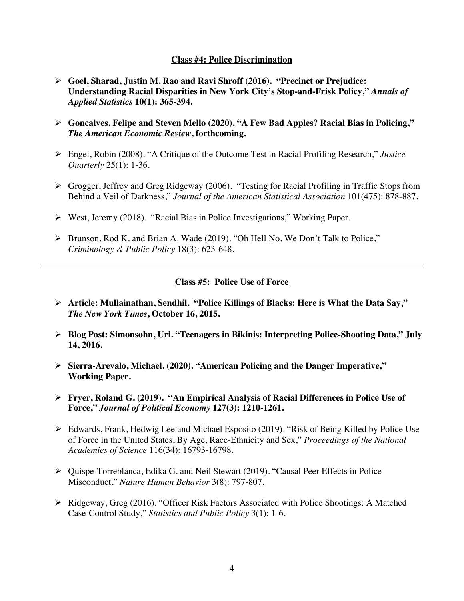#### **Class #4: Police Discrimination**

- Ø **Goel, Sharad, Justin M. Rao and Ravi Shroff (2016). "Precinct or Prejudice: Understanding Racial Disparities in New York City's Stop-and-Frisk Policy,"** *Annals of Applied Statistics* **10(1): 365-394.**
- Ø **Goncalves, Felipe and Steven Mello (2020). "A Few Bad Apples? Racial Bias in Policing,"**  *The American Economic Review***, forthcoming.**
- Ø Engel, Robin (2008). "A Critique of the Outcome Test in Racial Profiling Research," *Justice Quarterly* 25(1): 1-36.
- Ø Grogger, Jeffrey and Greg Ridgeway (2006). "Testing for Racial Profiling in Traffic Stops from Behind a Veil of Darkness," *Journal of the American Statistical Association* 101(475): 878-887.
- Ø West, Jeremy (2018). "Racial Bias in Police Investigations," Working Paper.
- Ø Brunson, Rod K. and Brian A. Wade (2019). "Oh Hell No, We Don't Talk to Police," *Criminology & Public Policy* 18(3): 623-648.

# **Class #5: Police Use of Force**

- Ø **Article: Mullainathan, Sendhil. "Police Killings of Blacks: Here is What the Data Say,"**  *The New York Times***, October 16, 2015.**
- Ø **Blog Post: Simonsohn, Uri. "Teenagers in Bikinis: Interpreting Police-Shooting Data," July 14, 2016.**
- Ø **Sierra-Arevalo, Michael. (2020). "American Policing and the Danger Imperative," Working Paper.**
- Ø **Fryer, Roland G. (2019). "An Empirical Analysis of Racial Differences in Police Use of Force,"** *Journal of Political Economy* **127(3): 1210-1261.**
- Ø Edwards, Frank, Hedwig Lee and Michael Esposito (2019). "Risk of Being Killed by Police Use of Force in the United States, By Age, Race-Ethnicity and Sex," *Proceedings of the National Academies of Science* 116(34): 16793-16798.
- Ø Quispe-Torreblanca, Edika G. and Neil Stewart (2019). "Causal Peer Effects in Police Misconduct," *Nature Human Behavior* 3(8): 797-807.
- Ø Ridgeway, Greg (2016). "Officer Risk Factors Associated with Police Shootings: A Matched Case-Control Study," *Statistics and Public Policy* 3(1): 1-6.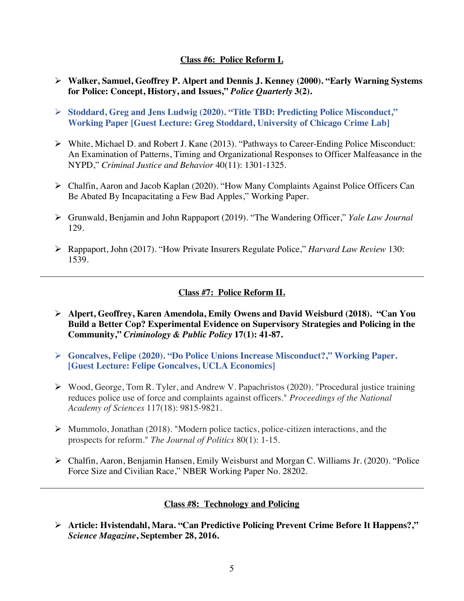### **Class #6: Police Reform I.**

- Ø **Walker, Samuel, Geoffrey P. Alpert and Dennis J. Kenney (2000). "Early Warning Systems for Police: Concept, History, and Issues,"** *Police Quarterly* **3(2).**
- Ø **Stoddard, Greg and Jens Ludwig (2020). "Title TBD: Predicting Police Misconduct," Working Paper [Guest Lecture: Greg Stoddard, University of Chicago Crime Lab]**
- Ø White, Michael D. and Robert J. Kane (2013). "Pathways to Career-Ending Police Misconduct: An Examination of Patterns, Timing and Organizational Responses to Officer Malfeasance in the NYPD," *Criminal Justice and Behavior* 40(11): 1301-1325.
- Ø Chalfin, Aaron and Jacob Kaplan (2020). "How Many Complaints Against Police Officers Can Be Abated By Incapacitating a Few Bad Apples," Working Paper.
- Ø Grunwald, Benjamin and John Rappaport (2019). "The Wandering Officer," *Yale Law Journal* 129.
- Ø Rappaport, John (2017). "How Private Insurers Regulate Police," *Harvard Law Review* 130: 1539.

# **Class #7: Police Reform II.**

- Ø **Alpert, Geoffrey, Karen Amendola, Emily Owens and David Weisburd (2018). "Can You Build a Better Cop? Experimental Evidence on Supervisory Strategies and Policing in the Community,"** *Criminology & Public Policy* **17(1): 41-87.**
- Ø **Goncalves, Felipe (2020). "Do Police Unions Increase Misconduct?," Working Paper. [Guest Lecture: Felipe Goncalves, UCLA Economics]**
- Ø Wood, George, Tom R. Tyler, and Andrew V. Papachristos (2020). "Procedural justice training reduces police use of force and complaints against officers." *Proceedings of the National Academy of Sciences* 117(18): 9815-9821.
- Ø Mummolo, Jonathan (2018). "Modern police tactics, police-citizen interactions, and the prospects for reform." *The Journal of Politics* 80(1): 1-15.
- Ø Chalfin, Aaron, Benjamin Hansen, Emily Weisburst and Morgan C. Williams Jr. (2020). "Police Force Size and Civilian Race," NBER Working Paper No. 28202.

# **Class #8: Technology and Policing**

Ø **Article: Hvistendahl, Mara. "Can Predictive Policing Prevent Crime Before It Happens?,"**  *Science Magazine***, September 28, 2016.**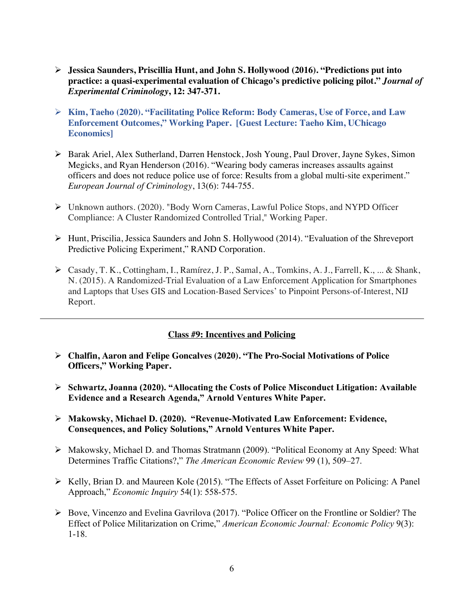- Ø **Jessica Saunders, Priscillia Hunt, and John S. Hollywood (2016). "Predictions put into practice: a quasi-experimental evaluation of Chicago's predictive policing pilot."** *Journal of Experimental Criminology***, 12: 347-371.**
- Ø **Kim, Taeho (2020). "Facilitating Police Reform: Body Cameras, Use of Force, and Law Enforcement Outcomes," Working Paper. [Guest Lecture: Taeho Kim, UChicago Economics]**
- Ø Barak Ariel, Alex Sutherland, Darren Henstock, Josh Young, Paul Drover, Jayne Sykes, Simon Megicks, and Ryan Henderson (2016). "Wearing body cameras increases assaults against officers and does not reduce police use of force: Results from a global multi-site experiment." *European Journal of Criminology*, 13(6): 744-755.
- Ø Unknown authors. (2020). "Body Worn Cameras, Lawful Police Stops, and NYPD Officer Compliance: A Cluster Randomized Controlled Trial," Working Paper.
- Ø Hunt, Priscilia, Jessica Saunders and John S. Hollywood (2014). "Evaluation of the Shreveport Predictive Policing Experiment," RAND Corporation.
- Ø Casady, T. K., Cottingham, I., Ramírez, J. P., Samal, A., Tomkins, A. J., Farrell, K., ... & Shank, N. (2015). A Randomized-Trial Evaluation of a Law Enforcement Application for Smartphones and Laptops that Uses GIS and Location-Based Services' to Pinpoint Persons-of-Interest, NIJ Report.

# **Class #9: Incentives and Policing**

- Ø **Chalfin, Aaron and Felipe Goncalves (2020). "The Pro-Social Motivations of Police Officers," Working Paper.**
- Ø **Schwartz, Joanna (2020). "Allocating the Costs of Police Misconduct Litigation: Available Evidence and a Research Agenda," Arnold Ventures White Paper.**
- Ø **Makowsky, Michael D. (2020). "Revenue-Motivated Law Enforcement: Evidence, Consequences, and Policy Solutions," Arnold Ventures White Paper.**
- Ø Makowsky, Michael D. and Thomas Stratmann (2009). "Political Economy at Any Speed: What Determines Traffic Citations?," *The American Economic Review* 99 (1), 509–27.
- Ø Kelly, Brian D. and Maureen Kole (2015). "The Effects of Asset Forfeiture on Policing: A Panel Approach," *Economic Inquiry* 54(1): 558-575.
- Ø Bove, Vincenzo and Evelina Gavrilova (2017). "Police Officer on the Frontline or Soldier? The Effect of Police Militarization on Crime," *American Economic Journal: Economic Policy* 9(3): 1-18.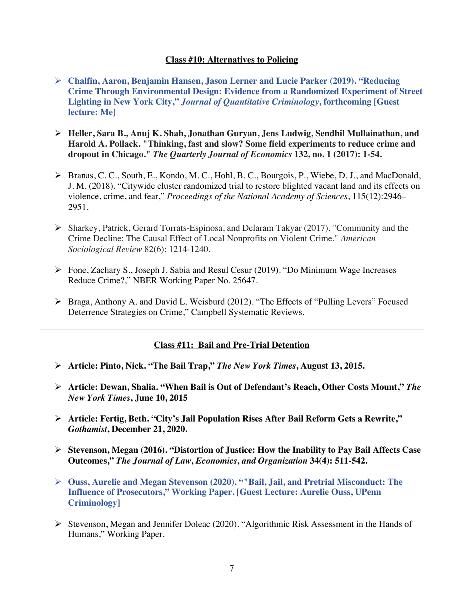#### **Class #10: Alternatives to Policing**

- Ø **Chalfin, Aaron, Benjamin Hansen, Jason Lerner and Lucie Parker (2019). "Reducing Crime Through Environmental Design: Evidence from a Randomized Experiment of Street Lighting in New York City,"** *Journal of Quantitative Criminology***, forthcoming [Guest lecture: Me]**
- Ø **Heller, Sara B., Anuj K. Shah, Jonathan Guryan, Jens Ludwig, Sendhil Mullainathan, and Harold A. Pollack. "Thinking, fast and slow? Some field experiments to reduce crime and dropout in Chicago."** *The Quarterly Journal of Economics* **132, no. 1 (2017): 1-54.**
- Ø Branas, C. C., South, E., Kondo, M. C., Hohl, B. C., Bourgois, P., Wiebe, D. J., and MacDonald, J. M. (2018). "Citywide cluster randomized trial to restore blighted vacant land and its effects on violence, crime, and fear," *Proceedings of the National Academy of Sciences*, 115(12):2946– 2951.
- Ø Sharkey, Patrick, Gerard Torrats-Espinosa, and Delaram Takyar (2017). "Community and the Crime Decline: The Causal Effect of Local Nonprofits on Violent Crime." *American Sociological Review* 82(6): 1214-1240.
- Ø Fone, Zachary S., Joseph J. Sabia and Resul Cesur (2019). "Do Minimum Wage Increases Reduce Crime?," NBER Working Paper No. 25647.
- Ø Braga, Anthony A. and David L. Weisburd (2012). "The Effects of "Pulling Levers" Focused Deterrence Strategies on Crime," Campbell Systematic Reviews.

### **Class #11: Bail and Pre-Trial Detention**

- Ø **Article: Pinto, Nick. "The Bail Trap,"** *The New York Times***, August 13, 2015.**
- Ø **Article: Dewan, Shalia. "When Bail is Out of Defendant's Reach, Other Costs Mount,"** *The New York Times***, June 10, 2015**
- Ø **Article: Fertig, Beth. "City's Jail Population Rises After Bail Reform Gets a Rewrite,"**  *Gothamist***, December 21, 2020.**
- Ø **Stevenson, Megan (2016). "Distortion of Justice: How the Inability to Pay Bail Affects Case Outcomes,"** *The Journal of Law, Economics, and Organization* **34(4): 511-542.**
- Ø **Ouss, Aurelie and Megan Stevenson (2020). ""Bail, Jail, and Pretrial Misconduct: The Influence of Prosecutors," Working Paper. [Guest Lecture: Aurelie Ouss, UPenn Criminology]**
- Ø Stevenson, Megan and Jennifer Doleac (2020). "Algorithmic Risk Assessment in the Hands of Humans," Working Paper.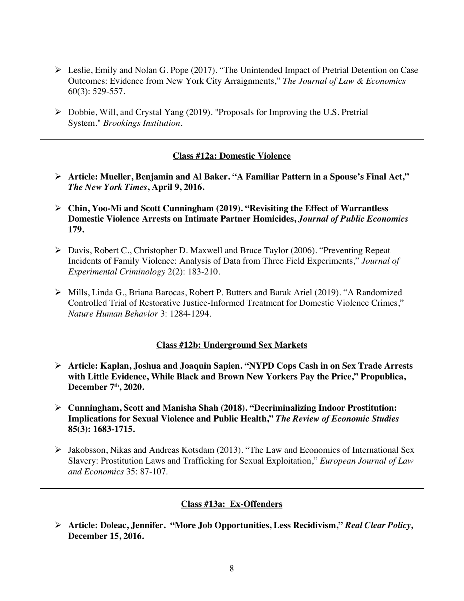- $\triangleright$  Leslie, Emily and Nolan G. Pope (2017). "The Unintended Impact of Pretrial Detention on Case Outcomes: Evidence from New York City Arraignments," *The Journal of Law & Economics* 60(3): 529-557.
- $\triangleright$  Dobbie, Will, and Crystal Yang (2019). "Proposals for Improving the U.S. Pretrial System." *Brookings Institution*.

### **Class #12a: Domestic Violence**

- Ø **Article: Mueller, Benjamin and Al Baker. "A Familiar Pattern in a Spouse's Final Act,"**  *The New York Times***, April 9, 2016.**
- Ø **Chin, Yoo-Mi and Scott Cunningham (2019). "Revisiting the Effect of Warrantless Domestic Violence Arrests on Intimate Partner Homicides,** *Journal of Public Economics*  **179.**
- Ø Davis, Robert C., Christopher D. Maxwell and Bruce Taylor (2006). "Preventing Repeat Incidents of Family Violence: Analysis of Data from Three Field Experiments," *Journal of Experimental Criminology* 2(2): 183-210.
- Ø Mills, Linda G., Briana Barocas, Robert P. Butters and Barak Ariel (2019). "A Randomized Controlled Trial of Restorative Justice-Informed Treatment for Domestic Violence Crimes," *Nature Human Behavior* 3: 1284-1294.

#### **Class #12b: Underground Sex Markets**

- Ø **Article: Kaplan, Joshua and Joaquin Sapien. "NYPD Cops Cash in on Sex Trade Arrests with Little Evidence, While Black and Brown New Yorkers Pay the Price," Propublica, December 7th, 2020.**
- Ø **Cunningham, Scott and Manisha Shah (2018). "Decriminalizing Indoor Prostitution: Implications for Sexual Violence and Public Health,"** *The Review of Economic Studies* **85(3): 1683-1715.**
- Ø Jakobsson, Nikas and Andreas Kotsdam (2013). "The Law and Economics of International Sex Slavery: Prostitution Laws and Trafficking for Sexual Exploitation," *European Journal of Law and Economics* 35: 87-107.

#### **Class #13a: Ex-Offenders**

Ø **Article: Doleac, Jennifer. "More Job Opportunities, Less Recidivism,"** *Real Clear Policy***, December 15, 2016.**